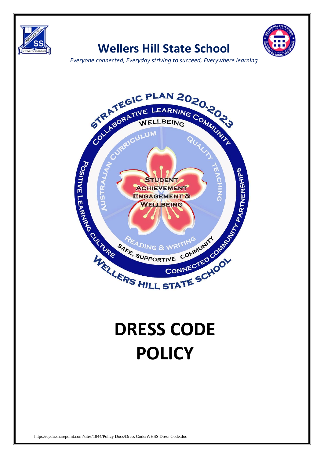

## **Wellers Hill State School**



*Everyone connected, Everyday striving to succeed, Everywhere learning*



## **DRESS CODE POLICY**

https://qedu.sharepoint.com/sites/1844/Policy Docs/Dress Code/WHSS Dress Code.doc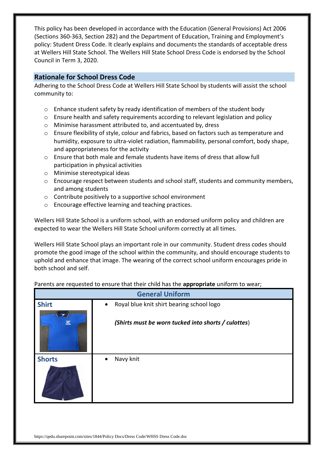This policy has been developed in accordance with the Education (General Provisions) Act 2006 (Sections 360-363, Section 282) and the Department of Education, Training and Employment's policy: Student Dress Code. It clearly explains and documents the standards of acceptable dress at Wellers Hill State School. The Wellers Hill State School Dress Code is endorsed by the School Council in Term 3, 2020.

## **Rationale for School Dress Code**

Adhering to the School Dress Code at Wellers Hill State School by students will assist the school community to:

- $\circ$  Enhance student safety by ready identification of members of the student body
- $\circ$  Ensure health and safety requirements according to relevant legislation and policy
- o Minimise harassment attributed to, and accentuated by, dress
- o Ensure flexibility of style, colour and fabrics, based on factors such as temperature and humidity, exposure to ultra-violet radiation, flammability, personal comfort, body shape, and appropriateness for the activity
- $\circ$  Ensure that both male and female students have items of dress that allow full participation in physical activities
- o Minimise stereotypical ideas
- o Encourage respect between students and school staff, students and community members, and among students
- o Contribute positively to a supportive school environment
- o Encourage effective learning and teaching practices.

Wellers Hill State School is a uniform school, with an endorsed uniform policy and children are expected to wear the Wellers Hill State School uniform correctly at all times.

Wellers Hill State School plays an important role in our community. Student dress codes should promote the good image of the school within the community, and should encourage students to uphold and enhance that image. The wearing of the correct school uniform encourages pride in both school and self.

| <b>General Uniform</b> |                                                        |  |
|------------------------|--------------------------------------------------------|--|
| <b>Shirt</b>           | Royal blue knit shirt bearing school logo<br>$\bullet$ |  |
| 図                      | (Shirts must be worn tucked into shorts / culottes)    |  |
| <b>Shorts</b>          | Navy knit<br>$\bullet$                                 |  |

Parents are requested to ensure that their child has the **appropriate** uniform to wear;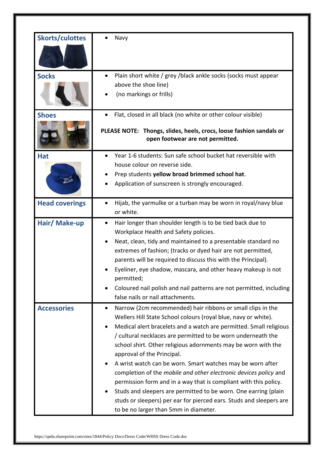| <b>Skorts/culottes</b><br><b>Socks</b> | Navy<br>$\bullet$                                                                                                                                                                                                                                                                                                                                                                                                                                                                                                                                                                                                                                                                                                                                                        |
|----------------------------------------|--------------------------------------------------------------------------------------------------------------------------------------------------------------------------------------------------------------------------------------------------------------------------------------------------------------------------------------------------------------------------------------------------------------------------------------------------------------------------------------------------------------------------------------------------------------------------------------------------------------------------------------------------------------------------------------------------------------------------------------------------------------------------|
|                                        | Plain short white / grey /black ankle socks (socks must appear<br>above the shoe line)<br>(no markings or frills)                                                                                                                                                                                                                                                                                                                                                                                                                                                                                                                                                                                                                                                        |
| <b>Shoes</b>                           | Flat, closed in all black (no white or other colour visible)<br>$\bullet$<br>PLEASE NOTE: Thongs, slides, heels, crocs, loose fashion sandals or<br>open footwear are not permitted.                                                                                                                                                                                                                                                                                                                                                                                                                                                                                                                                                                                     |
| <b>Hat</b>                             | Year 1-6 students: Sun safe school bucket hat reversible with<br>house colour on reverse side.<br>Prep students yellow broad brimmed school hat.<br>Application of sunscreen is strongly encouraged.                                                                                                                                                                                                                                                                                                                                                                                                                                                                                                                                                                     |
| <b>Head coverings</b>                  | Hijab, the yarmulke or a turban may be worn in royal/navy blue<br>or white.                                                                                                                                                                                                                                                                                                                                                                                                                                                                                                                                                                                                                                                                                              |
| Hair/ Make-up                          | Hair longer than shoulder length is to be tied back due to<br>Workplace Health and Safety policies.<br>Neat, clean, tidy and maintained to a presentable standard no<br>extremes of fashion; (tracks or dyed hair are not permitted,<br>parents will be required to discuss this with the Principal).<br>Eyeliner, eye shadow, mascara, and other heavy makeup is not<br>permitted;<br>Coloured nail polish and nail patterns are not permitted, including<br>false nails or nail attachments.                                                                                                                                                                                                                                                                           |
| <b>Accessories</b>                     | Narrow (2cm recommended) hair ribbons or small clips in the<br>$\bullet$<br>Wellers Hill State School colours (royal blue, navy or white).<br>Medical alert bracelets and a watch are permitted. Small religious<br>/ cultural necklaces are permitted to be worn underneath the<br>school shirt. Other religious adornments may be worn with the<br>approval of the Principal.<br>A wrist watch can be worn. Smart watches may be worn after<br>completion of the mobile and other electronic devices policy and<br>permission form and in a way that is compliant with this policy.<br>Studs and sleepers are permitted to be worn. One earring (plain<br>studs or sleepers) per ear for pierced ears. Studs and sleepers are<br>to be no larger than 5mm in diameter. |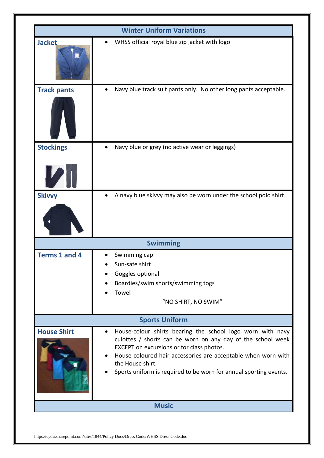| <b>Winter Uniform Variations</b> |                                                                                                                                                                                                                                                                                                                                               |  |
|----------------------------------|-----------------------------------------------------------------------------------------------------------------------------------------------------------------------------------------------------------------------------------------------------------------------------------------------------------------------------------------------|--|
| <b>Jacket</b>                    | WHSS official royal blue zip jacket with logo                                                                                                                                                                                                                                                                                                 |  |
| <b>Track pants</b>               | Navy blue track suit pants only. No other long pants acceptable.<br>$\bullet$                                                                                                                                                                                                                                                                 |  |
| <b>Stockings</b>                 | Navy blue or grey (no active wear or leggings)                                                                                                                                                                                                                                                                                                |  |
| <b>Skivvy</b>                    | A navy blue skivvy may also be worn under the school polo shirt.<br>$\bullet$                                                                                                                                                                                                                                                                 |  |
|                                  | <b>Swimming</b>                                                                                                                                                                                                                                                                                                                               |  |
| <b>Terms 1 and 4</b>             | Swimming cap<br>Sun-safe shirt<br>Goggles optional<br>Boardies/swim shorts/swimming togs<br>Towel<br>"NO SHIRT, NO SWIM"                                                                                                                                                                                                                      |  |
| <b>Sports Uniform</b>            |                                                                                                                                                                                                                                                                                                                                               |  |
| <b>House Shirt</b>               | House-colour shirts bearing the school logo worn with navy<br>$\bullet$<br>culottes / shorts can be worn on any day of the school week<br>EXCEPT on excursions or for class photos.<br>House coloured hair accessories are acceptable when worn with<br>the House shirt.<br>Sports uniform is required to be worn for annual sporting events. |  |
|                                  | <b>Music</b>                                                                                                                                                                                                                                                                                                                                  |  |

https://qedu.sharepoint.com/sites/1844/Policy Docs/Dress Code/WHSS Dress Code.doc